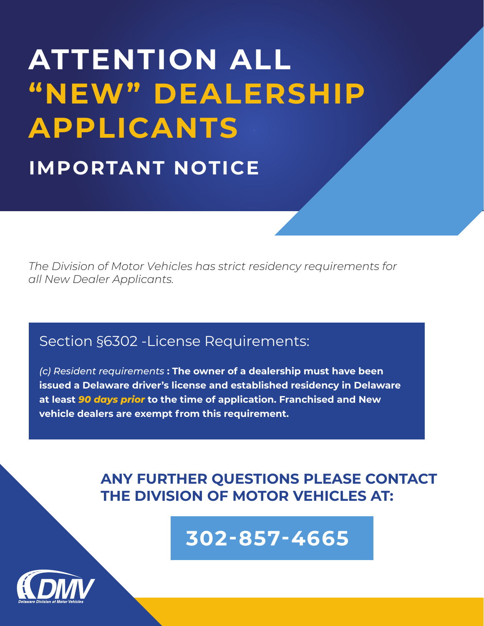# **ATTENTION ALL "NEW" DEALERSHIP APPLICANTS IMPORTANT NOTICE**

*The Division of Motor Vehicles has strict residency requirements for all New Dealer Applicants.*

## Section §6302 -License Requirements:

*(c) Resident requirements* **: The owner of a dealership must have been issued a Delaware driver's license and established residency in Delaware at least** *90 days prior* **to the time of application. Franchised and New vehicle dealers are exempt from this requirement.**

## **ANY FURTHER QUESTIONS PLEASE CONTACT THE DIVISION OF MOTOR VEHICLES AT:**

**302-857-4665**

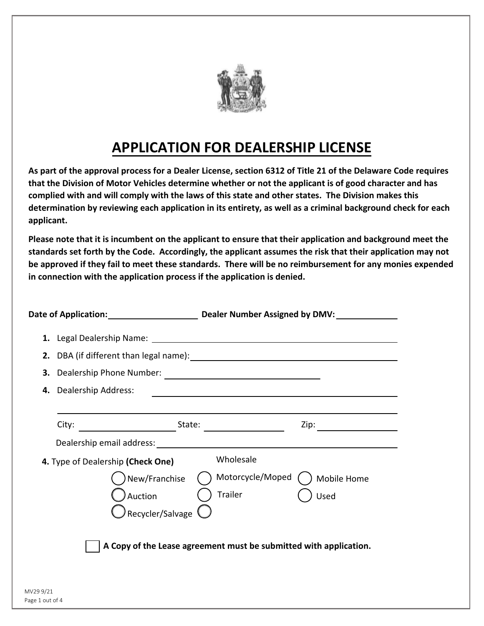

# **APPLICATION FOR DEALERSHIP LICENSE**

**As part of the approval process for a Dealer License, section 6312 of Title 21 of the Delaware Code requires that the Division of Motor Vehicles determine whether or not the applicant is of good character and has complied with and will comply with the laws of this state and other states. The Division makes this determination by reviewing each application in its entirety, as well as a criminal background check for each applicant.** 

**Please note that it is incumbent on the applicant to ensure that their application and background meet the standards set forth by the Code. Accordingly, the applicant assumes the risk that their application may not be approved if they fail to meet these standards. There will be no reimbursement for any monies expended in connection with the application process if the application is denied.** 

|                              |                                   | Date of Application: Dealer Number Assigned by DMV: Date of Application:                                                                                                                                                      |             |
|------------------------------|-----------------------------------|-------------------------------------------------------------------------------------------------------------------------------------------------------------------------------------------------------------------------------|-------------|
|                              |                                   |                                                                                                                                                                                                                               |             |
|                              |                                   |                                                                                                                                                                                                                               |             |
| 3.                           | Dealership Phone Number:          |                                                                                                                                                                                                                               |             |
|                              | 4. Dealership Address:            | the control of the control of the control of the control of the control of the control of the control of the control of the control of the control of the control of the control of the control of the control of the control |             |
|                              |                                   |                                                                                                                                                                                                                               |             |
|                              | City:                             |                                                                                                                                                                                                                               | Zip:        |
|                              |                                   |                                                                                                                                                                                                                               |             |
|                              | 4. Type of Dealership (Check One) | Wholesale                                                                                                                                                                                                                     |             |
|                              | New/Franchise                     | Motorcycle/Moped                                                                                                                                                                                                              | Mobile Home |
|                              | Auction                           | Trailer                                                                                                                                                                                                                       | Used        |
|                              | Recycler/Salvage <sup>(</sup>     |                                                                                                                                                                                                                               |             |
|                              |                                   |                                                                                                                                                                                                                               |             |
|                              |                                   | A Copy of the Lease agreement must be submitted with application.                                                                                                                                                             |             |
|                              |                                   |                                                                                                                                                                                                                               |             |
|                              |                                   |                                                                                                                                                                                                                               |             |
| MV29 9/21<br>Page 1 out of 4 |                                   |                                                                                                                                                                                                                               |             |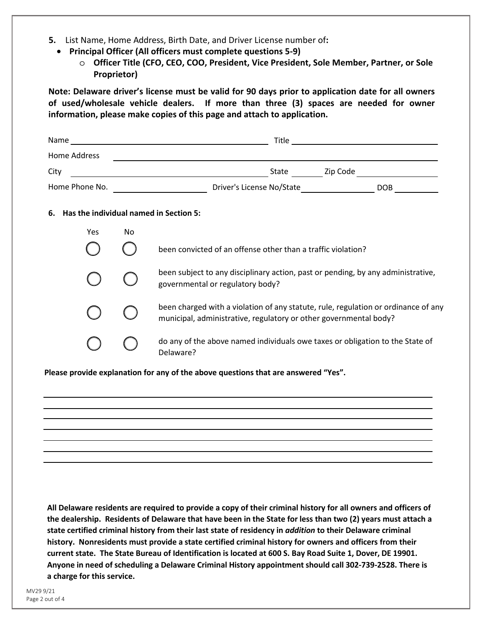- **5.** List Name, Home Address, Birth Date, and Driver License number of**:**
	- **Principal Officer (All officers must complete questions 5-9)**
		- o **Officer Title (CFO, CEO, COO, President, Vice President, Sole Member, Partner, or Sole Proprietor)**

**Note: Delaware driver's license must be valid for 90 days prior to application date for all owners of used/wholesale vehicle dealers. If more than three (3) spaces are needed for owner information, please make copies of this page and attach to application.**

| Home Address   |    |                                                                                                                                                         |            |
|----------------|----|---------------------------------------------------------------------------------------------------------------------------------------------------------|------------|
| City           |    | State ___________ Zip Code ____<br><u> 1980 - Johann Barbara, martxa alemaniar amerikan basar da a</u>                                                  |            |
| Home Phone No. |    |                                                                                                                                                         | <b>DOB</b> |
| 6.             |    | Has the individual named in Section 5:                                                                                                                  |            |
| Yes            | No |                                                                                                                                                         |            |
|                |    | been convicted of an offense other than a traffic violation?                                                                                            |            |
|                |    | been subject to any disciplinary action, past or pending, by any administrative,<br>governmental or regulatory body?                                    |            |
|                |    | been charged with a violation of any statute, rule, regulation or ordinance of any<br>municipal, administrative, regulatory or other governmental body? |            |
|                |    | do any of the above named individuals owe taxes or obligation to the State of<br>Delaware?                                                              |            |
|                |    | Please provide explanation for any of the above questions that are answered "Yes".                                                                      |            |

**All Delaware residents are required to provide a copy of their criminal history for all owners and officers of the dealership. Residents of Delaware that have been in the State for less than two (2) years must attach a state certified criminal history from their last state of residency in** *addition* **to their Delaware criminal history. Nonresidents must provide a state certified criminal history for owners and officers from their current state. The State Bureau of Identification is located at 600 S. Bay Road Suite 1, Dover, DE 19901. Anyone in need of scheduling a Delaware Criminal History appointmentshould call 302-739-2528. There is a charge for this service.**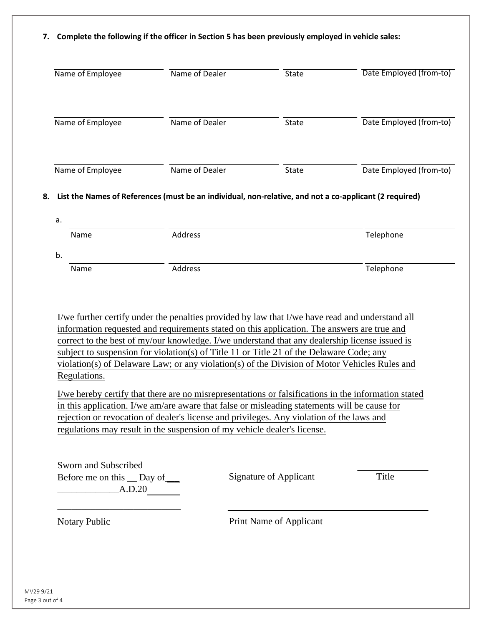#### **7. Complete the following if the officer in Section 5 has been previously employed in vehicle sales:**

| Name of Employee                                                    | Name of Dealer                                                                                                                                                                                                                                                                                                                                                                                                                                                                                                                                                                                     | State                         | Date Employed (from-to) |
|---------------------------------------------------------------------|----------------------------------------------------------------------------------------------------------------------------------------------------------------------------------------------------------------------------------------------------------------------------------------------------------------------------------------------------------------------------------------------------------------------------------------------------------------------------------------------------------------------------------------------------------------------------------------------------|-------------------------------|-------------------------|
| Name of Employee                                                    | Name of Dealer                                                                                                                                                                                                                                                                                                                                                                                                                                                                                                                                                                                     | State                         | Date Employed (from-to) |
| Name of Employee                                                    | Name of Dealer                                                                                                                                                                                                                                                                                                                                                                                                                                                                                                                                                                                     | State                         | Date Employed (from-to) |
| a.                                                                  | List the Names of References (must be an individual, non-relative, and not a co-applicant (2 required)                                                                                                                                                                                                                                                                                                                                                                                                                                                                                             |                               |                         |
| Name                                                                | Address                                                                                                                                                                                                                                                                                                                                                                                                                                                                                                                                                                                            |                               | Telephone               |
|                                                                     |                                                                                                                                                                                                                                                                                                                                                                                                                                                                                                                                                                                                    |                               |                         |
| b.                                                                  |                                                                                                                                                                                                                                                                                                                                                                                                                                                                                                                                                                                                    |                               |                         |
| Name                                                                | Address<br>I/we further certify under the penalties provided by law that I/we have read and understand all                                                                                                                                                                                                                                                                                                                                                                                                                                                                                         |                               | Telephone               |
| Regulations.                                                        | information requested and requirements stated on this application. The answers are true and<br>correct to the best of my/our knowledge. I/we understand that any dealership license issued is<br>subject to suspension for violation(s) of Title 11 or Title 21 of the Delaware Code; any<br>violation(s) of Delaware Law; or any violation(s) of the Division of Motor Vehicles Rules and<br>I/we hereby certify that there are no misrepresentations or falsifications in the information stated<br>in this application. I/we am/are aware that false or misleading statements will be cause for |                               |                         |
|                                                                     | rejection or revocation of dealer's license and privileges. Any violation of the laws and<br>regulations may result in the suspension of my vehicle dealer's license.                                                                                                                                                                                                                                                                                                                                                                                                                              |                               |                         |
| Sworn and Subscribed<br>Before me on this __ Day of _____<br>A.D.20 |                                                                                                                                                                                                                                                                                                                                                                                                                                                                                                                                                                                                    | <b>Signature of Applicant</b> | Title                   |